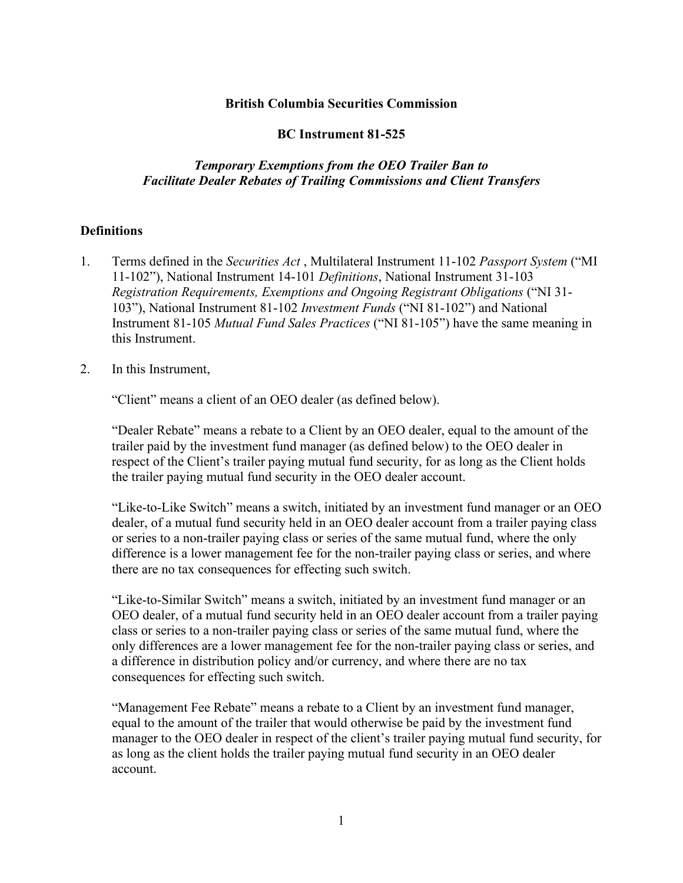#### **British Columbia Securities Commission**

#### **BC Instrument 81-525**

### *Temporary Exemptions from the OEO Trailer Ban to Facilitate Dealer Rebates of Trailing Commissions and Client Transfers*

#### **Definitions**

- 1. Terms defined in the *Securities Act* , Multilateral Instrument 11-102 *Passport System* ("MI 11-102"), National Instrument 14-101 *Definitions*, National Instrument 31-103 *Registration Requirements, Exemptions and Ongoing Registrant Obligations* ("NI 31- 103"), National Instrument 81-102 *Investment Funds* ("NI 81-102") and National Instrument 81-105 *Mutual Fund Sales Practices* ("NI 81-105") have the same meaning in this Instrument.
- 2. In this Instrument,

"Client" means a client of an OEO dealer (as defined below).

"Dealer Rebate" means a rebate to a Client by an OEO dealer, equal to the amount of the trailer paid by the investment fund manager (as defined below) to the OEO dealer in respect of the Client's trailer paying mutual fund security, for as long as the Client holds the trailer paying mutual fund security in the OEO dealer account.

"Like-to-Like Switch" means a switch, initiated by an investment fund manager or an OEO dealer, of a mutual fund security held in an OEO dealer account from a trailer paying class or series to a non-trailer paying class or series of the same mutual fund, where the only difference is a lower management fee for the non-trailer paying class or series, and where there are no tax consequences for effecting such switch.

"Like-to-Similar Switch" means a switch, initiated by an investment fund manager or an OEO dealer, of a mutual fund security held in an OEO dealer account from a trailer paying class or series to a non-trailer paying class or series of the same mutual fund, where the only differences are a lower management fee for the non-trailer paying class or series, and a difference in distribution policy and/or currency, and where there are no tax consequences for effecting such switch.

"Management Fee Rebate" means a rebate to a Client by an investment fund manager, equal to the amount of the trailer that would otherwise be paid by the investment fund manager to the OEO dealer in respect of the client's trailer paying mutual fund security, for as long as the client holds the trailer paying mutual fund security in an OEO dealer account.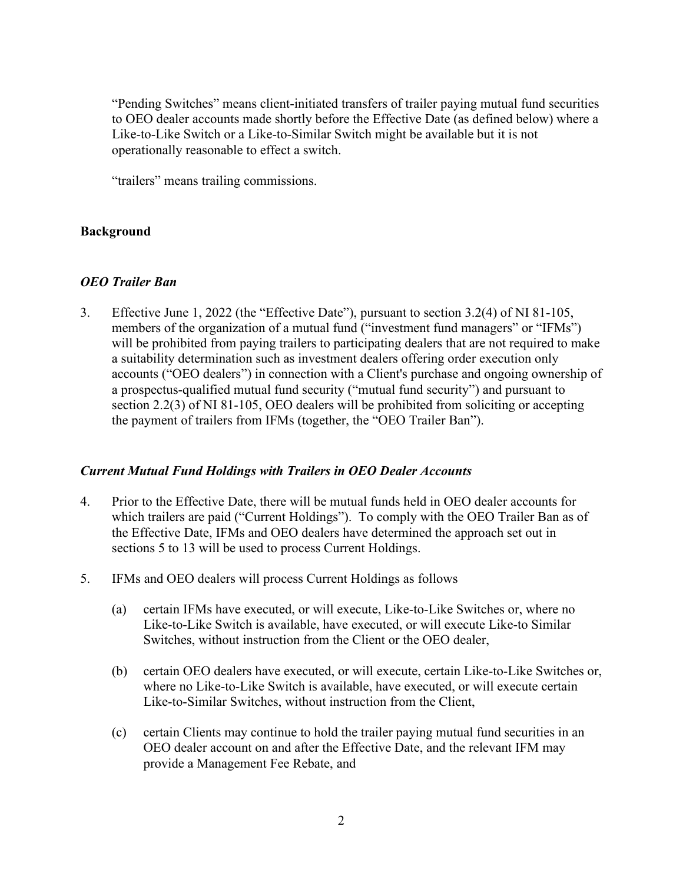"Pending Switches" means client-initiated transfers of trailer paying mutual fund securities to OEO dealer accounts made shortly before the Effective Date (as defined below) where a Like-to-Like Switch or a Like-to-Similar Switch might be available but it is not operationally reasonable to effect a switch.

"trailers" means trailing commissions.

## **Background**

## *OEO Trailer Ban*

3. Effective June 1, 2022 (the "Effective Date"), pursuant to section 3.2(4) of NI 81-105, members of the organization of a mutual fund ("investment fund managers" or "IFMs") will be prohibited from paying trailers to participating dealers that are not required to make a suitability determination such as investment dealers offering order execution only accounts ("OEO dealers") in connection with a Client's purchase and ongoing ownership of a prospectus-qualified mutual fund security ("mutual fund security") and pursuant to section 2.2(3) of NI 81-105, OEO dealers will be prohibited from soliciting or accepting the payment of trailers from IFMs (together, the "OEO Trailer Ban").

## *Current Mutual Fund Holdings with Trailers in OEO Dealer Accounts*

- 4. Prior to the Effective Date, there will be mutual funds held in OEO dealer accounts for which trailers are paid ("Current Holdings"). To comply with the OEO Trailer Ban as of the Effective Date, IFMs and OEO dealers have determined the approach set out in sections 5 to 13 will be used to process Current Holdings.
- 5. IFMs and OEO dealers will process Current Holdings as follows
	- (a) certain IFMs have executed, or will execute, Like-to-Like Switches or, where no Like-to-Like Switch is available, have executed, or will execute Like-to Similar Switches, without instruction from the Client or the OEO dealer,
	- (b) certain OEO dealers have executed, or will execute, certain Like-to-Like Switches or, where no Like-to-Like Switch is available, have executed, or will execute certain Like-to-Similar Switches, without instruction from the Client,
	- (c) certain Clients may continue to hold the trailer paying mutual fund securities in an OEO dealer account on and after the Effective Date, and the relevant IFM may provide a Management Fee Rebate, and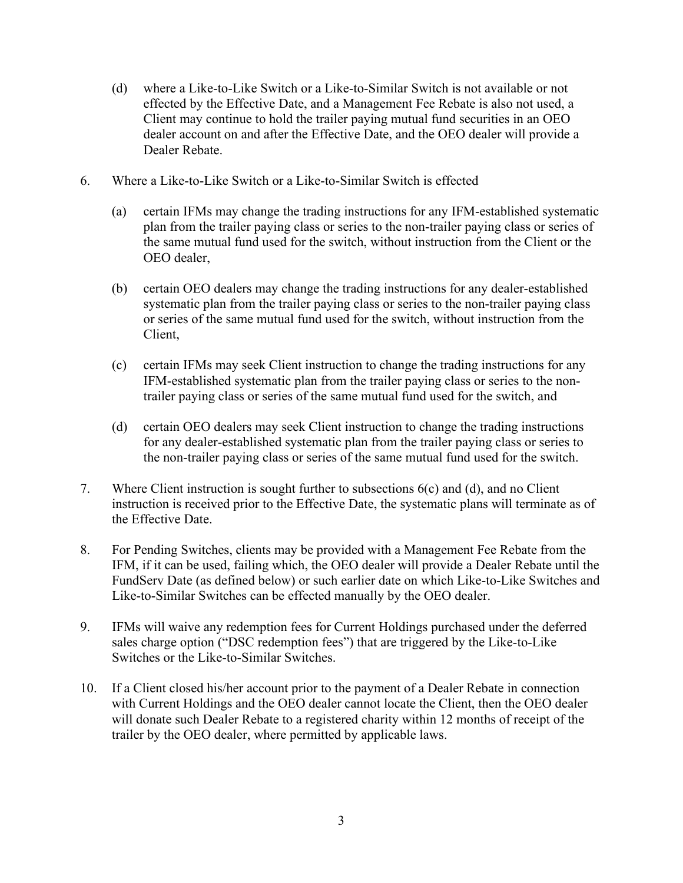- (d) where a Like-to-Like Switch or a Like-to-Similar Switch is not available or not effected by the Effective Date, and a Management Fee Rebate is also not used, a Client may continue to hold the trailer paying mutual fund securities in an OEO dealer account on and after the Effective Date, and the OEO dealer will provide a Dealer Rebate.
- 6. Where a Like-to-Like Switch or a Like-to-Similar Switch is effected
	- (a) certain IFMs may change the trading instructions for any IFM-established systematic plan from the trailer paying class or series to the non-trailer paying class or series of the same mutual fund used for the switch, without instruction from the Client or the OEO dealer,
	- (b) certain OEO dealers may change the trading instructions for any dealer-established systematic plan from the trailer paying class or series to the non-trailer paying class or series of the same mutual fund used for the switch, without instruction from the Client,
	- (c) certain IFMs may seek Client instruction to change the trading instructions for any IFM-established systematic plan from the trailer paying class or series to the nontrailer paying class or series of the same mutual fund used for the switch, and
	- (d) certain OEO dealers may seek Client instruction to change the trading instructions for any dealer-established systematic plan from the trailer paying class or series to the non-trailer paying class or series of the same mutual fund used for the switch.
- 7. Where Client instruction is sought further to subsections 6(c) and (d), and no Client instruction is received prior to the Effective Date, the systematic plans will terminate as of the Effective Date.
- 8. For Pending Switches, clients may be provided with a Management Fee Rebate from the IFM, if it can be used, failing which, the OEO dealer will provide a Dealer Rebate until the FundServ Date (as defined below) or such earlier date on which Like-to-Like Switches and Like-to-Similar Switches can be effected manually by the OEO dealer.
- 9. IFMs will waive any redemption fees for Current Holdings purchased under the deferred sales charge option ("DSC redemption fees") that are triggered by the Like-to-Like Switches or the Like-to-Similar Switches.
- 10. If a Client closed his/her account prior to the payment of a Dealer Rebate in connection with Current Holdings and the OEO dealer cannot locate the Client, then the OEO dealer will donate such Dealer Rebate to a registered charity within 12 months of receipt of the trailer by the OEO dealer, where permitted by applicable laws.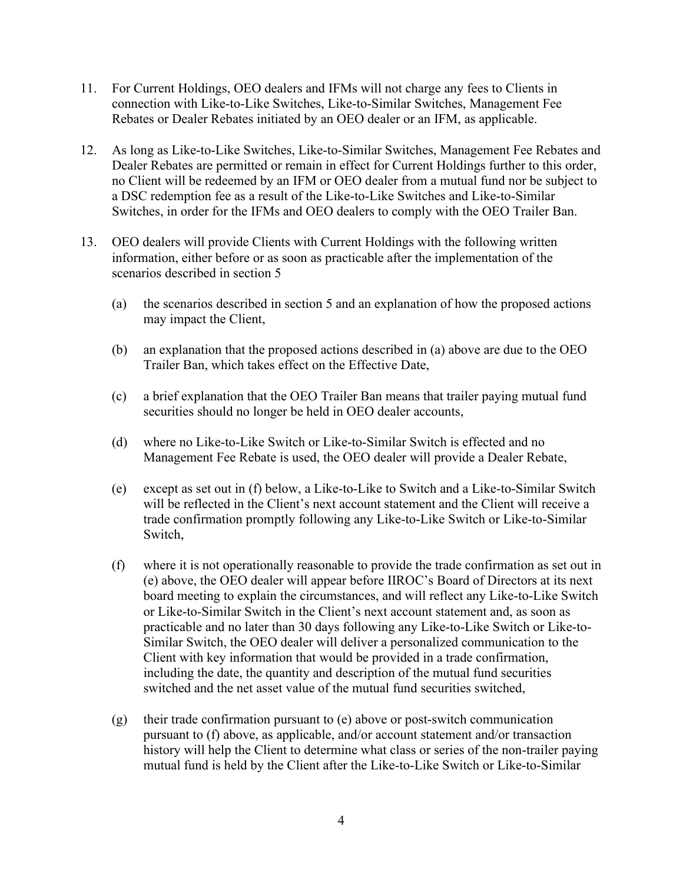- 11. For Current Holdings, OEO dealers and IFMs will not charge any fees to Clients in connection with Like-to-Like Switches, Like-to-Similar Switches, Management Fee Rebates or Dealer Rebates initiated by an OEO dealer or an IFM, as applicable.
- 12. As long as Like-to-Like Switches, Like-to-Similar Switches, Management Fee Rebates and Dealer Rebates are permitted or remain in effect for Current Holdings further to this order, no Client will be redeemed by an IFM or OEO dealer from a mutual fund nor be subject to a DSC redemption fee as a result of the Like-to-Like Switches and Like-to-Similar Switches, in order for the IFMs and OEO dealers to comply with the OEO Trailer Ban.
- 13. OEO dealers will provide Clients with Current Holdings with the following written information, either before or as soon as practicable after the implementation of the scenarios described in section 5
	- (a) the scenarios described in section 5 and an explanation of how the proposed actions may impact the Client,
	- (b) an explanation that the proposed actions described in (a) above are due to the OEO Trailer Ban, which takes effect on the Effective Date,
	- (c) a brief explanation that the OEO Trailer Ban means that trailer paying mutual fund securities should no longer be held in OEO dealer accounts,
	- (d) where no Like-to-Like Switch or Like-to-Similar Switch is effected and no Management Fee Rebate is used, the OEO dealer will provide a Dealer Rebate,
	- (e) except as set out in (f) below, a Like-to-Like to Switch and a Like-to-Similar Switch will be reflected in the Client's next account statement and the Client will receive a trade confirmation promptly following any Like-to-Like Switch or Like-to-Similar Switch,
	- (f) where it is not operationally reasonable to provide the trade confirmation as set out in (e) above, the OEO dealer will appear before IIROC's Board of Directors at its next board meeting to explain the circumstances, and will reflect any Like-to-Like Switch or Like-to-Similar Switch in the Client's next account statement and, as soon as practicable and no later than 30 days following any Like-to-Like Switch or Like-to-Similar Switch, the OEO dealer will deliver a personalized communication to the Client with key information that would be provided in a trade confirmation, including the date, the quantity and description of the mutual fund securities switched and the net asset value of the mutual fund securities switched,
	- (g) their trade confirmation pursuant to (e) above or post-switch communication pursuant to (f) above, as applicable, and/or account statement and/or transaction history will help the Client to determine what class or series of the non-trailer paying mutual fund is held by the Client after the Like-to-Like Switch or Like-to-Similar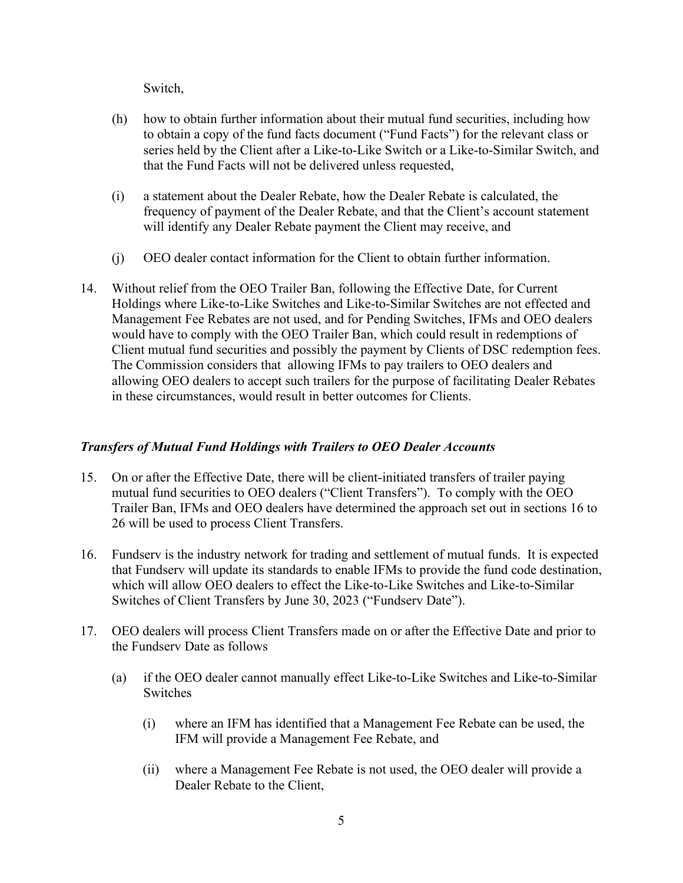Switch,

- (h) how to obtain further information about their mutual fund securities, including how to obtain a copy of the fund facts document ("Fund Facts") for the relevant class or series held by the Client after a Like-to-Like Switch or a Like-to-Similar Switch, and that the Fund Facts will not be delivered unless requested,
- (i) a statement about the Dealer Rebate, how the Dealer Rebate is calculated, the frequency of payment of the Dealer Rebate, and that the Client's account statement will identify any Dealer Rebate payment the Client may receive, and
- (j) OEO dealer contact information for the Client to obtain further information.
- 14. Without relief from the OEO Trailer Ban, following the Effective Date, for Current Holdings where Like-to-Like Switches and Like-to-Similar Switches are not effected and Management Fee Rebates are not used, and for Pending Switches, IFMs and OEO dealers would have to comply with the OEO Trailer Ban, which could result in redemptions of Client mutual fund securities and possibly the payment by Clients of DSC redemption fees. The Commission considers that allowing IFMs to pay trailers to OEO dealers and allowing OEO dealers to accept such trailers for the purpose of facilitating Dealer Rebates in these circumstances, would result in better outcomes for Clients.

## *Transfers of Mutual Fund Holdings with Trailers to OEO Dealer Accounts*

- 15. On or after the Effective Date, there will be client-initiated transfers of trailer paying mutual fund securities to OEO dealers ("Client Transfers"). To comply with the OEO Trailer Ban, IFMs and OEO dealers have determined the approach set out in sections 16 to 26 will be used to process Client Transfers.
- 16. Fundserv is the industry network for trading and settlement of mutual funds. It is expected that Fundserv will update its standards to enable IFMs to provide the fund code destination, which will allow OEO dealers to effect the Like-to-Like Switches and Like-to-Similar Switches of Client Transfers by June 30, 2023 ("Fundserv Date").
- 17. OEO dealers will process Client Transfers made on or after the Effective Date and prior to the Fundserv Date as follows
	- (a) if the OEO dealer cannot manually effect Like-to-Like Switches and Like-to-Similar Switches
		- (i) where an IFM has identified that a Management Fee Rebate can be used, the IFM will provide a Management Fee Rebate, and
		- (ii) where a Management Fee Rebate is not used, the OEO dealer will provide a Dealer Rebate to the Client,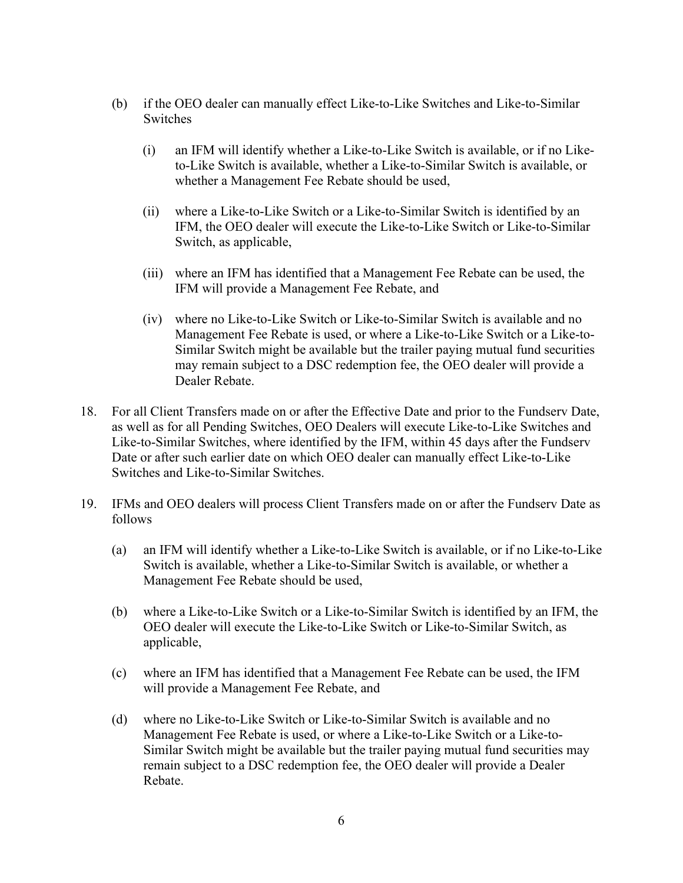- (b) if the OEO dealer can manually effect Like-to-Like Switches and Like-to-Similar Switches
	- (i) an IFM will identify whether a Like-to-Like Switch is available, or if no Liketo-Like Switch is available, whether a Like-to-Similar Switch is available, or whether a Management Fee Rebate should be used,
	- (ii) where a Like-to-Like Switch or a Like-to-Similar Switch is identified by an IFM, the OEO dealer will execute the Like-to-Like Switch or Like-to-Similar Switch, as applicable,
	- (iii) where an IFM has identified that a Management Fee Rebate can be used, the IFM will provide a Management Fee Rebate, and
	- (iv) where no Like-to-Like Switch or Like-to-Similar Switch is available and no Management Fee Rebate is used, or where a Like-to-Like Switch or a Like-to-Similar Switch might be available but the trailer paying mutual fund securities may remain subject to a DSC redemption fee, the OEO dealer will provide a Dealer Rebate.
- 18. For all Client Transfers made on or after the Effective Date and prior to the Fundserv Date, as well as for all Pending Switches, OEO Dealers will execute Like-to-Like Switches and Like-to-Similar Switches, where identified by the IFM, within 45 days after the Fundserv Date or after such earlier date on which OEO dealer can manually effect Like-to-Like Switches and Like-to-Similar Switches.
- 19. IFMs and OEO dealers will process Client Transfers made on or after the Fundserv Date as follows
	- (a) an IFM will identify whether a Like-to-Like Switch is available, or if no Like-to-Like Switch is available, whether a Like-to-Similar Switch is available, or whether a Management Fee Rebate should be used,
	- (b) where a Like-to-Like Switch or a Like-to-Similar Switch is identified by an IFM, the OEO dealer will execute the Like-to-Like Switch or Like-to-Similar Switch, as applicable,
	- (c) where an IFM has identified that a Management Fee Rebate can be used, the IFM will provide a Management Fee Rebate, and
	- (d) where no Like-to-Like Switch or Like-to-Similar Switch is available and no Management Fee Rebate is used, or where a Like-to-Like Switch or a Like-to-Similar Switch might be available but the trailer paying mutual fund securities may remain subject to a DSC redemption fee, the OEO dealer will provide a Dealer Rebate.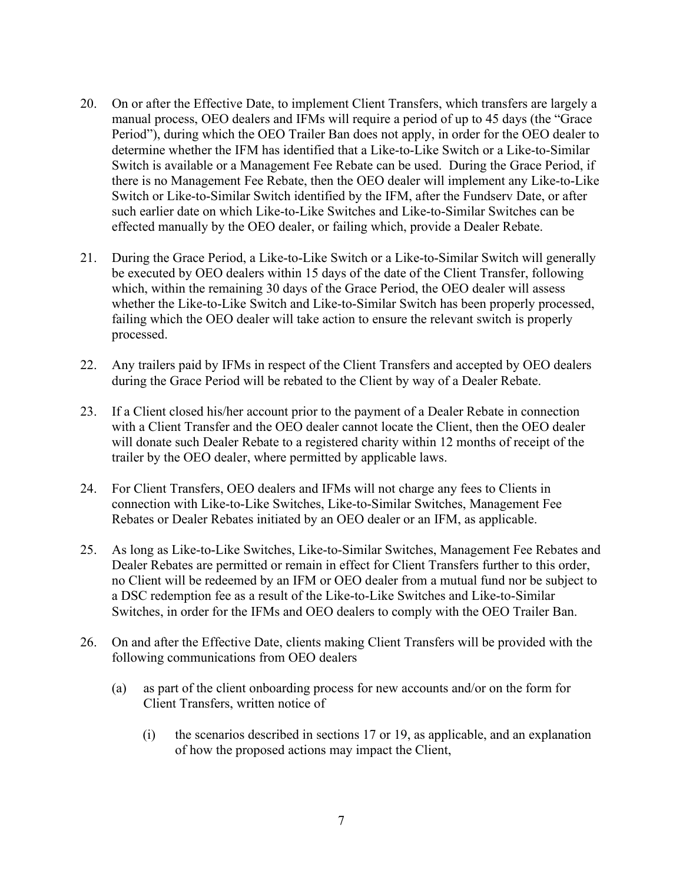- 20. On or after the Effective Date, to implement Client Transfers, which transfers are largely a manual process, OEO dealers and IFMs will require a period of up to 45 days (the "Grace Period"), during which the OEO Trailer Ban does not apply, in order for the OEO dealer to determine whether the IFM has identified that a Like-to-Like Switch or a Like-to-Similar Switch is available or a Management Fee Rebate can be used. During the Grace Period, if there is no Management Fee Rebate, then the OEO dealer will implement any Like-to-Like Switch or Like-to-Similar Switch identified by the IFM, after the Fundserv Date, or after such earlier date on which Like-to-Like Switches and Like-to-Similar Switches can be effected manually by the OEO dealer, or failing which, provide a Dealer Rebate.
- 21. During the Grace Period, a Like-to-Like Switch or a Like-to-Similar Switch will generally be executed by OEO dealers within 15 days of the date of the Client Transfer, following which, within the remaining 30 days of the Grace Period, the OEO dealer will assess whether the Like-to-Like Switch and Like-to-Similar Switch has been properly processed, failing which the OEO dealer will take action to ensure the relevant switch is properly processed.
- 22. Any trailers paid by IFMs in respect of the Client Transfers and accepted by OEO dealers during the Grace Period will be rebated to the Client by way of a Dealer Rebate.
- 23. If a Client closed his/her account prior to the payment of a Dealer Rebate in connection with a Client Transfer and the OEO dealer cannot locate the Client, then the OEO dealer will donate such Dealer Rebate to a registered charity within 12 months of receipt of the trailer by the OEO dealer, where permitted by applicable laws.
- 24. For Client Transfers, OEO dealers and IFMs will not charge any fees to Clients in connection with Like-to-Like Switches, Like-to-Similar Switches, Management Fee Rebates or Dealer Rebates initiated by an OEO dealer or an IFM, as applicable.
- 25. As long as Like-to-Like Switches, Like-to-Similar Switches, Management Fee Rebates and Dealer Rebates are permitted or remain in effect for Client Transfers further to this order, no Client will be redeemed by an IFM or OEO dealer from a mutual fund nor be subject to a DSC redemption fee as a result of the Like-to-Like Switches and Like-to-Similar Switches, in order for the IFMs and OEO dealers to comply with the OEO Trailer Ban.
- 26. On and after the Effective Date, clients making Client Transfers will be provided with the following communications from OEO dealers
	- (a) as part of the client onboarding process for new accounts and/or on the form for Client Transfers, written notice of
		- (i) the scenarios described in sections 17 or 19, as applicable, and an explanation of how the proposed actions may impact the Client,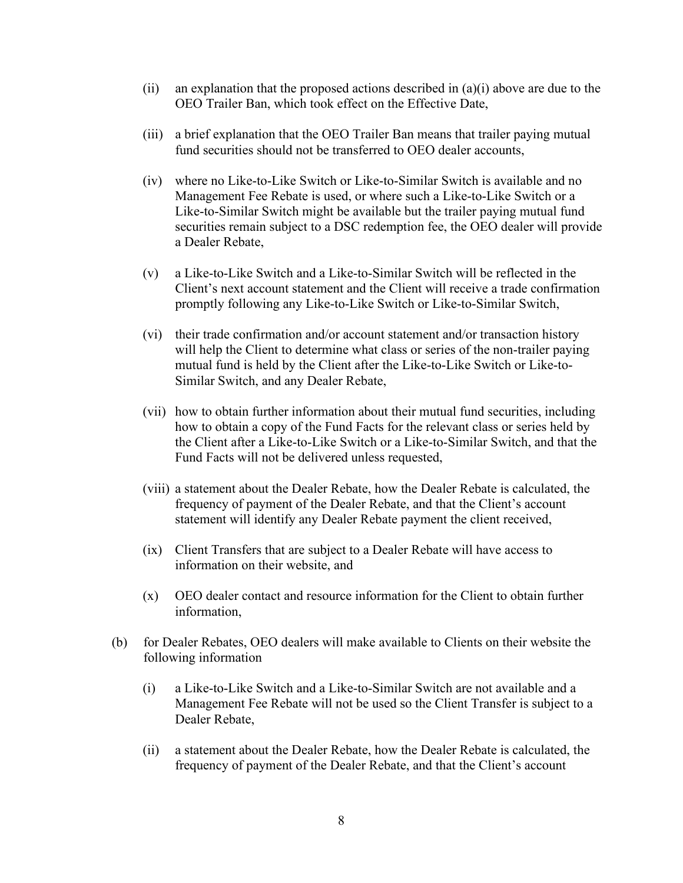- (ii) an explanation that the proposed actions described in  $(a)(i)$  above are due to the OEO Trailer Ban, which took effect on the Effective Date,
- (iii) a brief explanation that the OEO Trailer Ban means that trailer paying mutual fund securities should not be transferred to OEO dealer accounts,
- (iv) where no Like-to-Like Switch or Like-to-Similar Switch is available and no Management Fee Rebate is used, or where such a Like-to-Like Switch or a Like-to-Similar Switch might be available but the trailer paying mutual fund securities remain subject to a DSC redemption fee, the OEO dealer will provide a Dealer Rebate,
- (v) a Like-to-Like Switch and a Like-to-Similar Switch will be reflected in the Client's next account statement and the Client will receive a trade confirmation promptly following any Like-to-Like Switch or Like-to-Similar Switch,
- (vi) their trade confirmation and/or account statement and/or transaction history will help the Client to determine what class or series of the non-trailer paying mutual fund is held by the Client after the Like-to-Like Switch or Like-to-Similar Switch, and any Dealer Rebate,
- (vii) how to obtain further information about their mutual fund securities, including how to obtain a copy of the Fund Facts for the relevant class or series held by the Client after a Like-to-Like Switch or a Like-to-Similar Switch, and that the Fund Facts will not be delivered unless requested,
- (viii) a statement about the Dealer Rebate, how the Dealer Rebate is calculated, the frequency of payment of the Dealer Rebate, and that the Client's account statement will identify any Dealer Rebate payment the client received,
- (ix) Client Transfers that are subject to a Dealer Rebate will have access to information on their website, and
- (x) OEO dealer contact and resource information for the Client to obtain further information,
- (b) for Dealer Rebates, OEO dealers will make available to Clients on their website the following information
	- (i) a Like-to-Like Switch and a Like-to-Similar Switch are not available and a Management Fee Rebate will not be used so the Client Transfer is subject to a Dealer Rebate,
	- (ii) a statement about the Dealer Rebate, how the Dealer Rebate is calculated, the frequency of payment of the Dealer Rebate, and that the Client's account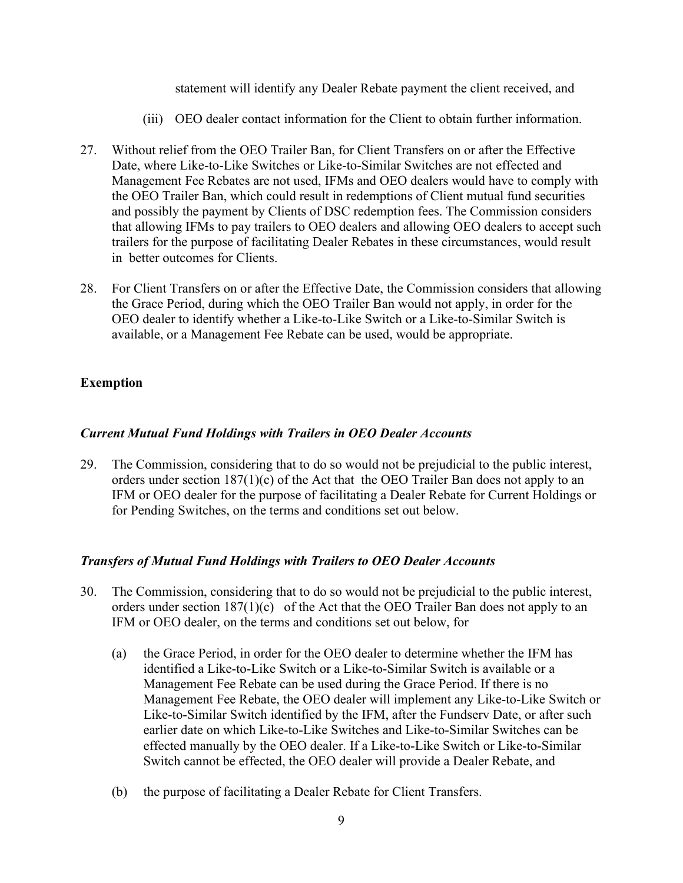statement will identify any Dealer Rebate payment the client received, and

- (iii) OEO dealer contact information for the Client to obtain further information.
- 27. Without relief from the OEO Trailer Ban, for Client Transfers on or after the Effective Date, where Like-to-Like Switches or Like-to-Similar Switches are not effected and Management Fee Rebates are not used, IFMs and OEO dealers would have to comply with the OEO Trailer Ban, which could result in redemptions of Client mutual fund securities and possibly the payment by Clients of DSC redemption fees. The Commission considers that allowing IFMs to pay trailers to OEO dealers and allowing OEO dealers to accept such trailers for the purpose of facilitating Dealer Rebates in these circumstances, would result in better outcomes for Clients.
- 28. For Client Transfers on or after the Effective Date, the Commission considers that allowing the Grace Period, during which the OEO Trailer Ban would not apply, in order for the OEO dealer to identify whether a Like-to-Like Switch or a Like-to-Similar Switch is available, or a Management Fee Rebate can be used, would be appropriate.

## **Exemption**

#### *Current Mutual Fund Holdings with Trailers in OEO Dealer Accounts*

29. The Commission, considering that to do so would not be prejudicial to the public interest, orders under section  $187(1)(c)$  of the Act that the OEO Trailer Ban does not apply to an IFM or OEO dealer for the purpose of facilitating a Dealer Rebate for Current Holdings or for Pending Switches, on the terms and conditions set out below.

#### *Transfers of Mutual Fund Holdings with Trailers to OEO Dealer Accounts*

- 30. The Commission, considering that to do so would not be prejudicial to the public interest, orders under section 187(1)(c) of the Act that the OEO Trailer Ban does not apply to an IFM or OEO dealer, on the terms and conditions set out below, for
	- (a) the Grace Period, in order for the OEO dealer to determine whether the IFM has identified a Like-to-Like Switch or a Like-to-Similar Switch is available or a Management Fee Rebate can be used during the Grace Period. If there is no Management Fee Rebate, the OEO dealer will implement any Like-to-Like Switch or Like-to-Similar Switch identified by the IFM, after the Fundserv Date, or after such earlier date on which Like-to-Like Switches and Like-to-Similar Switches can be effected manually by the OEO dealer. If a Like-to-Like Switch or Like-to-Similar Switch cannot be effected, the OEO dealer will provide a Dealer Rebate, and
	- (b) the purpose of facilitating a Dealer Rebate for Client Transfers.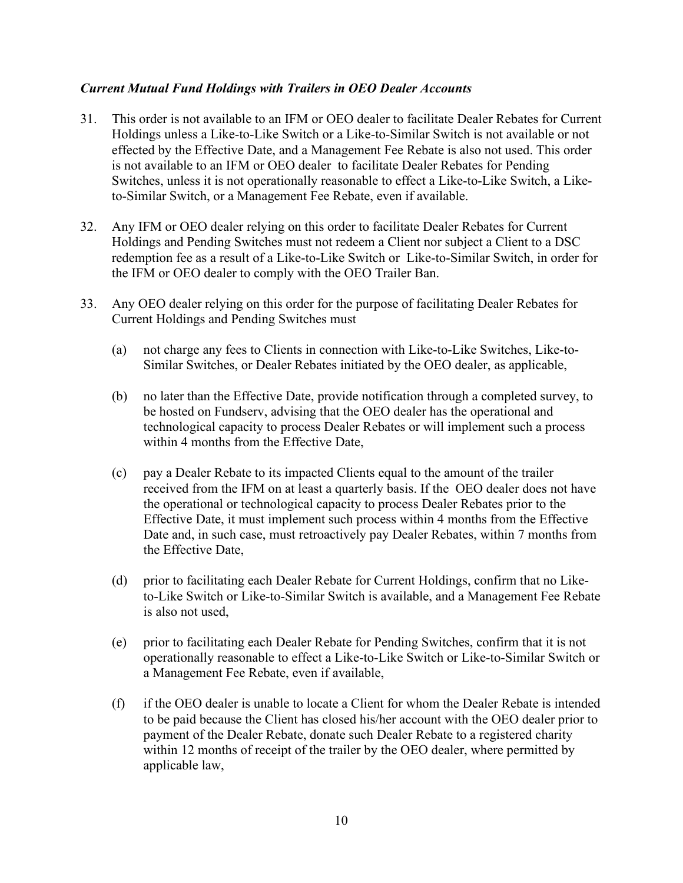## *Current Mutual Fund Holdings with Trailers in OEO Dealer Accounts*

- 31. This order is not available to an IFM or OEO dealer to facilitate Dealer Rebates for Current Holdings unless a Like-to-Like Switch or a Like-to-Similar Switch is not available or not effected by the Effective Date, and a Management Fee Rebate is also not used. This order is not available to an IFM or OEO dealer to facilitate Dealer Rebates for Pending Switches, unless it is not operationally reasonable to effect a Like-to-Like Switch, a Liketo-Similar Switch, or a Management Fee Rebate, even if available.
- 32. Any IFM or OEO dealer relying on this order to facilitate Dealer Rebates for Current Holdings and Pending Switches must not redeem a Client nor subject a Client to a DSC redemption fee as a result of a Like-to-Like Switch or Like-to-Similar Switch, in order for the IFM or OEO dealer to comply with the OEO Trailer Ban.
- 33. Any OEO dealer relying on this order for the purpose of facilitating Dealer Rebates for Current Holdings and Pending Switches must
	- (a) not charge any fees to Clients in connection with Like-to-Like Switches, Like-to-Similar Switches, or Dealer Rebates initiated by the OEO dealer, as applicable,
	- (b) no later than the Effective Date, provide notification through a completed survey, to be hosted on Fundserv, advising that the OEO dealer has the operational and technological capacity to process Dealer Rebates or will implement such a process within 4 months from the Effective Date,
	- (c) pay a Dealer Rebate to its impacted Clients equal to the amount of the trailer received from the IFM on at least a quarterly basis. If the OEO dealer does not have the operational or technological capacity to process Dealer Rebates prior to the Effective Date, it must implement such process within 4 months from the Effective Date and, in such case, must retroactively pay Dealer Rebates, within 7 months from the Effective Date,
	- (d) prior to facilitating each Dealer Rebate for Current Holdings, confirm that no Liketo-Like Switch or Like-to-Similar Switch is available, and a Management Fee Rebate is also not used,
	- (e) prior to facilitating each Dealer Rebate for Pending Switches, confirm that it is not operationally reasonable to effect a Like-to-Like Switch or Like-to-Similar Switch or a Management Fee Rebate, even if available,
	- (f) if the OEO dealer is unable to locate a Client for whom the Dealer Rebate is intended to be paid because the Client has closed his/her account with the OEO dealer prior to payment of the Dealer Rebate, donate such Dealer Rebate to a registered charity within 12 months of receipt of the trailer by the OEO dealer, where permitted by applicable law,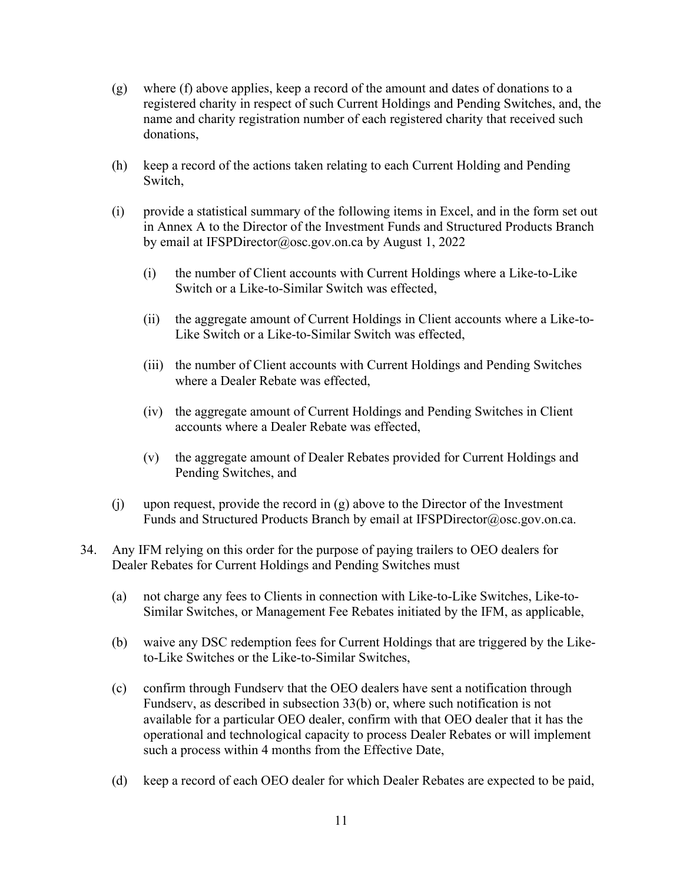- (g) where (f) above applies, keep a record of the amount and dates of donations to a registered charity in respect of such Current Holdings and Pending Switches, and, the name and charity registration number of each registered charity that received such donations,
- (h) keep a record of the actions taken relating to each Current Holding and Pending Switch,
- (i) provide a statistical summary of the following items in Excel, and in the form set out in Annex A to the Director of the Investment Funds and Structured Products Branch by email at IFSPDirector@osc.gov.on.ca by August 1, 2022
	- (i) the number of Client accounts with Current Holdings where a Like-to-Like Switch or a Like-to-Similar Switch was effected,
	- (ii) the aggregate amount of Current Holdings in Client accounts where a Like-to-Like Switch or a Like-to-Similar Switch was effected,
	- (iii) the number of Client accounts with Current Holdings and Pending Switches where a Dealer Rebate was effected,
	- (iv) the aggregate amount of Current Holdings and Pending Switches in Client accounts where a Dealer Rebate was effected,
	- (v) the aggregate amount of Dealer Rebates provided for Current Holdings and Pending Switches, and
- (j) upon request, provide the record in (g) above to the Director of the Investment Funds and Structured Products Branch by email at IFSPDirector@osc.gov.on.ca.
- 34. Any IFM relying on this order for the purpose of paying trailers to OEO dealers for Dealer Rebates for Current Holdings and Pending Switches must
	- (a) not charge any fees to Clients in connection with Like-to-Like Switches, Like-to-Similar Switches, or Management Fee Rebates initiated by the IFM, as applicable,
	- (b) waive any DSC redemption fees for Current Holdings that are triggered by the Liketo-Like Switches or the Like-to-Similar Switches,
	- (c) confirm through Fundserv that the OEO dealers have sent a notification through Fundserv, as described in subsection 33(b) or, where such notification is not available for a particular OEO dealer, confirm with that OEO dealer that it has the operational and technological capacity to process Dealer Rebates or will implement such a process within 4 months from the Effective Date,
	- (d) keep a record of each OEO dealer for which Dealer Rebates are expected to be paid,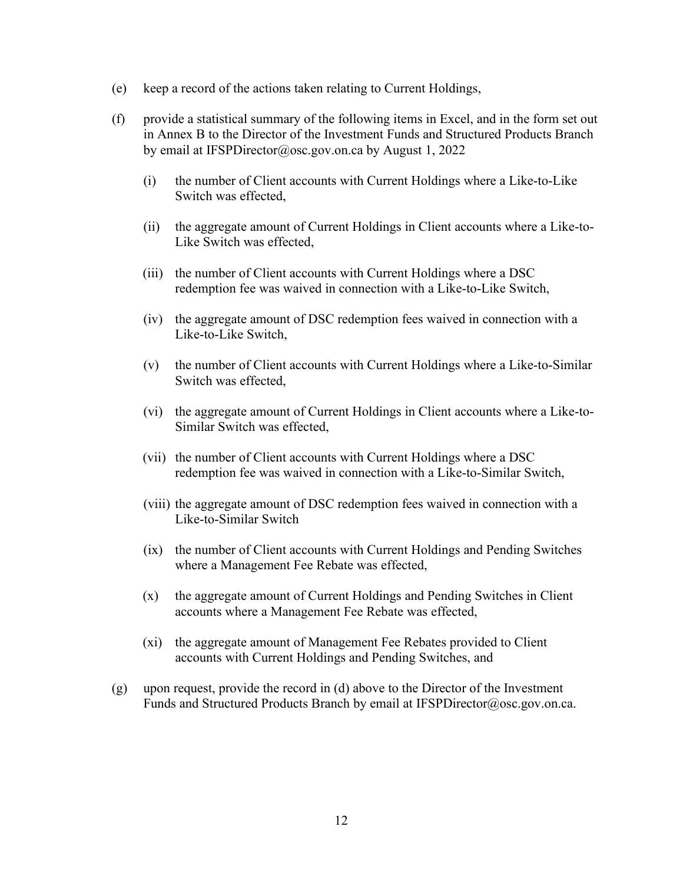- (e) keep a record of the actions taken relating to Current Holdings,
- (f) provide a statistical summary of the following items in Excel, and in the form set out in Annex B to the Director of the Investment Funds and Structured Products Branch by email at IFSPDirector@osc.gov.on.ca by August 1, 2022
	- (i) the number of Client accounts with Current Holdings where a Like-to-Like Switch was effected,
	- (ii) the aggregate amount of Current Holdings in Client accounts where a Like-to-Like Switch was effected,
	- (iii) the number of Client accounts with Current Holdings where a DSC redemption fee was waived in connection with a Like-to-Like Switch,
	- (iv) the aggregate amount of DSC redemption fees waived in connection with a Like-to-Like Switch,
	- (v) the number of Client accounts with Current Holdings where a Like-to-Similar Switch was effected,
	- (vi) the aggregate amount of Current Holdings in Client accounts where a Like-to-Similar Switch was effected,
	- (vii) the number of Client accounts with Current Holdings where a DSC redemption fee was waived in connection with a Like-to-Similar Switch,
	- (viii) the aggregate amount of DSC redemption fees waived in connection with a Like-to-Similar Switch
	- (ix) the number of Client accounts with Current Holdings and Pending Switches where a Management Fee Rebate was effected,
	- (x) the aggregate amount of Current Holdings and Pending Switches in Client accounts where a Management Fee Rebate was effected,
	- (xi) the aggregate amount of Management Fee Rebates provided to Client accounts with Current Holdings and Pending Switches, and
- (g) upon request, provide the record in (d) above to the Director of the Investment Funds and Structured Products Branch by email at IFSPDirector@osc.gov.on.ca.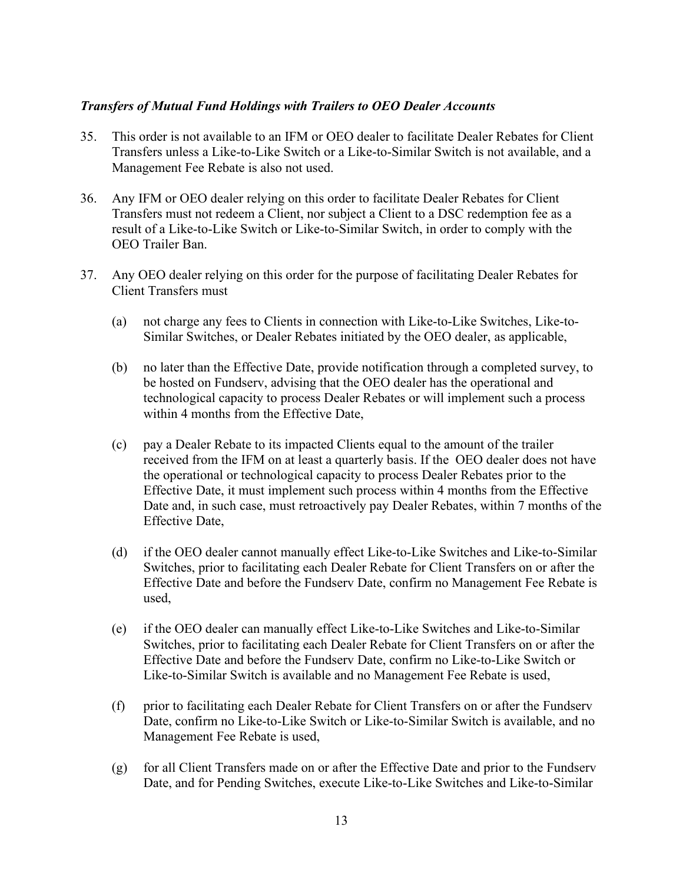### *Transfers of Mutual Fund Holdings with Trailers to OEO Dealer Accounts*

- 35. This order is not available to an IFM or OEO dealer to facilitate Dealer Rebates for Client Transfers unless a Like-to-Like Switch or a Like-to-Similar Switch is not available, and a Management Fee Rebate is also not used.
- 36. Any IFM or OEO dealer relying on this order to facilitate Dealer Rebates for Client Transfers must not redeem a Client, nor subject a Client to a DSC redemption fee as a result of a Like-to-Like Switch or Like-to-Similar Switch, in order to comply with the OEO Trailer Ban.
- 37. Any OEO dealer relying on this order for the purpose of facilitating Dealer Rebates for Client Transfers must
	- (a) not charge any fees to Clients in connection with Like-to-Like Switches, Like-to-Similar Switches, or Dealer Rebates initiated by the OEO dealer, as applicable,
	- (b) no later than the Effective Date, provide notification through a completed survey, to be hosted on Fundserv, advising that the OEO dealer has the operational and technological capacity to process Dealer Rebates or will implement such a process within 4 months from the Effective Date,
	- (c) pay a Dealer Rebate to its impacted Clients equal to the amount of the trailer received from the IFM on at least a quarterly basis. If the OEO dealer does not have the operational or technological capacity to process Dealer Rebates prior to the Effective Date, it must implement such process within 4 months from the Effective Date and, in such case, must retroactively pay Dealer Rebates, within 7 months of the Effective Date,
	- (d) if the OEO dealer cannot manually effect Like-to-Like Switches and Like-to-Similar Switches, prior to facilitating each Dealer Rebate for Client Transfers on or after the Effective Date and before the Fundserv Date, confirm no Management Fee Rebate is used,
	- (e) if the OEO dealer can manually effect Like-to-Like Switches and Like-to-Similar Switches, prior to facilitating each Dealer Rebate for Client Transfers on or after the Effective Date and before the Fundserv Date, confirm no Like-to-Like Switch or Like-to-Similar Switch is available and no Management Fee Rebate is used,
	- (f) prior to facilitating each Dealer Rebate for Client Transfers on or after the Fundserv Date, confirm no Like-to-Like Switch or Like-to-Similar Switch is available, and no Management Fee Rebate is used,
	- (g) for all Client Transfers made on or after the Effective Date and prior to the Fundserv Date, and for Pending Switches, execute Like-to-Like Switches and Like-to-Similar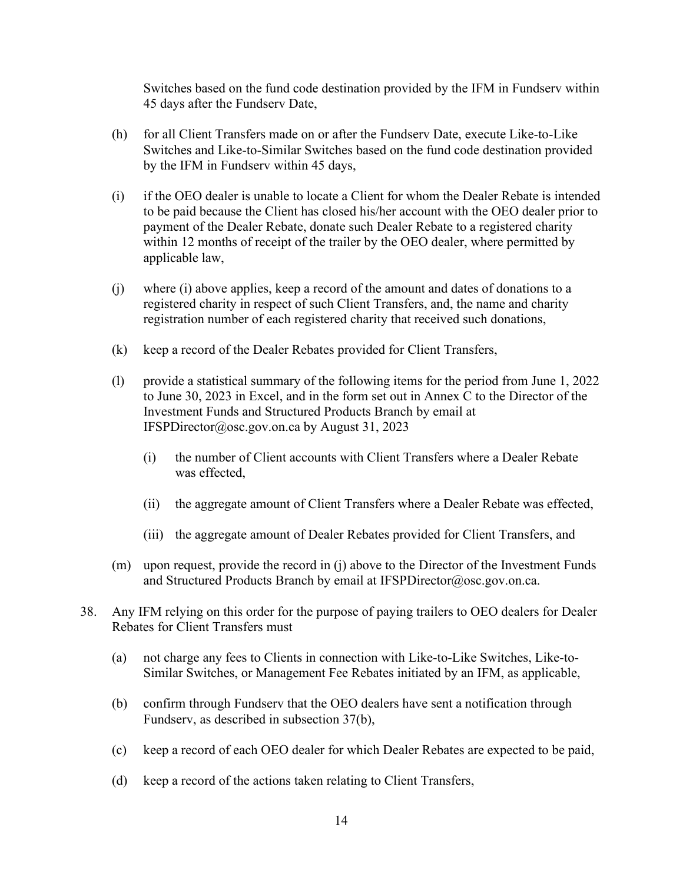Switches based on the fund code destination provided by the IFM in Fundserv within 45 days after the Fundserv Date,

- (h) for all Client Transfers made on or after the Fundserv Date, execute Like-to-Like Switches and Like-to-Similar Switches based on the fund code destination provided by the IFM in Fundserv within 45 days,
- (i) if the OEO dealer is unable to locate a Client for whom the Dealer Rebate is intended to be paid because the Client has closed his/her account with the OEO dealer prior to payment of the Dealer Rebate, donate such Dealer Rebate to a registered charity within 12 months of receipt of the trailer by the OEO dealer, where permitted by applicable law,
- (j) where (i) above applies, keep a record of the amount and dates of donations to a registered charity in respect of such Client Transfers, and, the name and charity registration number of each registered charity that received such donations,
- (k) keep a record of the Dealer Rebates provided for Client Transfers,
- (l) provide a statistical summary of the following items for the period from June 1, 2022 to June 30, 2023 in Excel, and in the form set out in Annex C to the Director of the Investment Funds and Structured Products Branch by email at IFSPDirector@osc.gov.on.ca by August 31, 2023
	- (i) the number of Client accounts with Client Transfers where a Dealer Rebate was effected,
	- (ii) the aggregate amount of Client Transfers where a Dealer Rebate was effected,
	- (iii) the aggregate amount of Dealer Rebates provided for Client Transfers, and
- (m) upon request, provide the record in (j) above to the Director of the Investment Funds and Structured Products Branch by email at IFSPDirector@osc.gov.on.ca.
- 38. Any IFM relying on this order for the purpose of paying trailers to OEO dealers for Dealer Rebates for Client Transfers must
	- (a) not charge any fees to Clients in connection with Like-to-Like Switches, Like-to-Similar Switches, or Management Fee Rebates initiated by an IFM, as applicable,
	- (b) confirm through Fundserv that the OEO dealers have sent a notification through Fundserv, as described in subsection 37(b),
	- (c) keep a record of each OEO dealer for which Dealer Rebates are expected to be paid,
	- (d) keep a record of the actions taken relating to Client Transfers,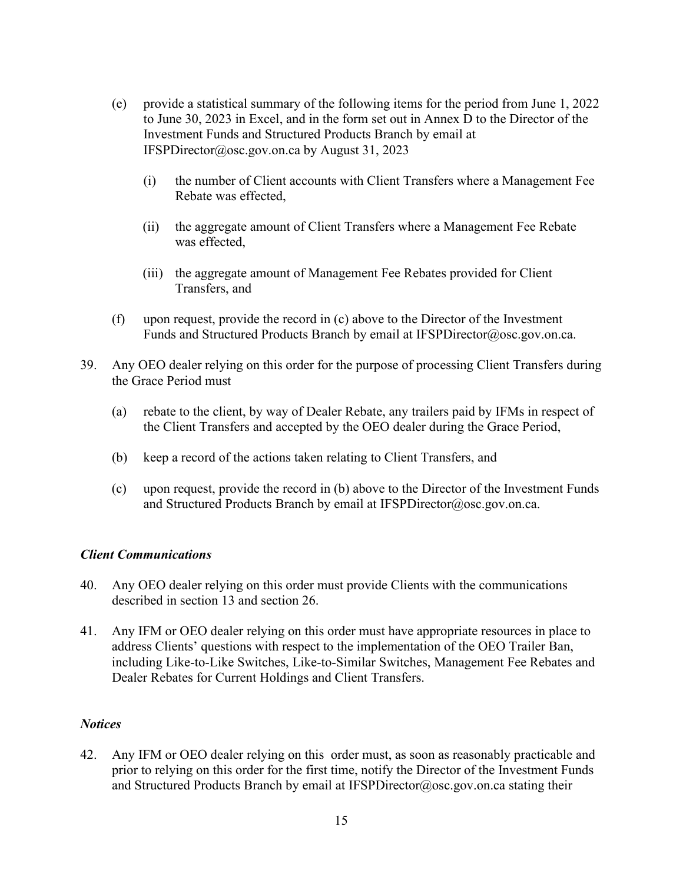- (e) provide a statistical summary of the following items for the period from June 1, 2022 to June 30, 2023 in Excel, and in the form set out in Annex D to the Director of the Investment Funds and Structured Products Branch by email at IFSPDirector@osc.gov.on.ca by August 31, 2023
	- (i) the number of Client accounts with Client Transfers where a Management Fee Rebate was effected,
	- (ii) the aggregate amount of Client Transfers where a Management Fee Rebate was effected,
	- (iii) the aggregate amount of Management Fee Rebates provided for Client Transfers, and
- (f) upon request, provide the record in (c) above to the Director of the Investment Funds and Structured Products Branch by email at IFSPDirector@osc.gov.on.ca.
- 39. Any OEO dealer relying on this order for the purpose of processing Client Transfers during the Grace Period must
	- (a) rebate to the client, by way of Dealer Rebate, any trailers paid by IFMs in respect of the Client Transfers and accepted by the OEO dealer during the Grace Period,
	- (b) keep a record of the actions taken relating to Client Transfers, and
	- (c) upon request, provide the record in (b) above to the Director of the Investment Funds and Structured Products Branch by email at IFSPDirector@osc.gov.on.ca.

#### *Client Communications*

- 40. Any OEO dealer relying on this order must provide Clients with the communications described in section 13 and section 26.
- 41. Any IFM or OEO dealer relying on this order must have appropriate resources in place to address Clients' questions with respect to the implementation of the OEO Trailer Ban, including Like-to-Like Switches, Like-to-Similar Switches, Management Fee Rebates and Dealer Rebates for Current Holdings and Client Transfers.

#### *Notices*

42. Any IFM or OEO dealer relying on this order must, as soon as reasonably practicable and prior to relying on this order for the first time, notify the Director of the Investment Funds and Structured Products Branch by email at IFSPDirector@osc.gov.on.ca stating their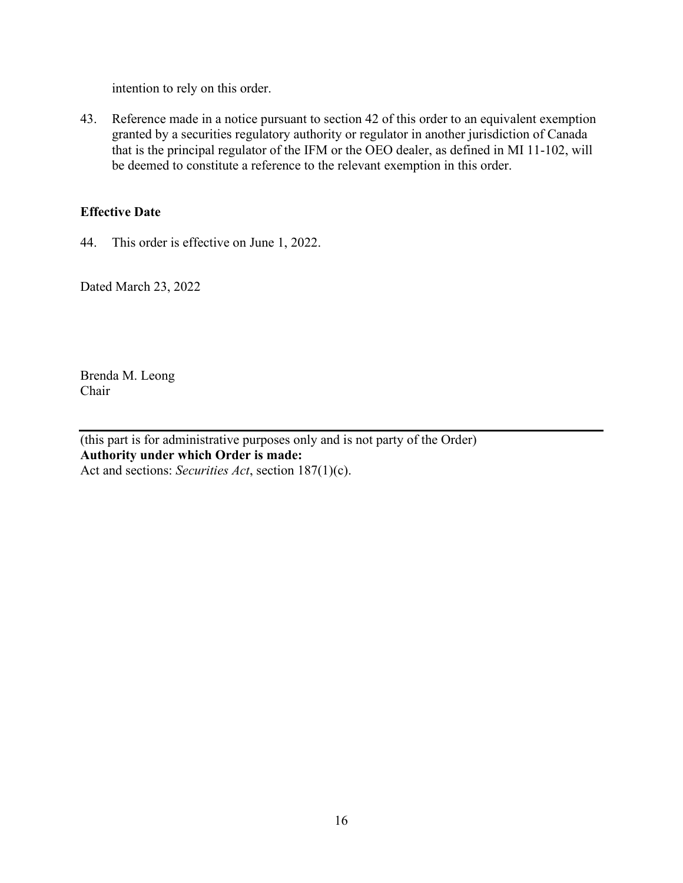intention to rely on this order.

43. Reference made in a notice pursuant to section 42 of this order to an equivalent exemption granted by a securities regulatory authority or regulator in another jurisdiction of Canada that is the principal regulator of the IFM or the OEO dealer, as defined in MI 11-102, will be deemed to constitute a reference to the relevant exemption in this order.

### **Effective Date**

44. This order is effective on June 1, 2022.

Dated March 23, 2022

Brenda M. Leong Chair

(this part is for administrative purposes only and is not party of the Order) **Authority under which Order is made:** Act and sections: *Securities Act*, section 187(1)(c).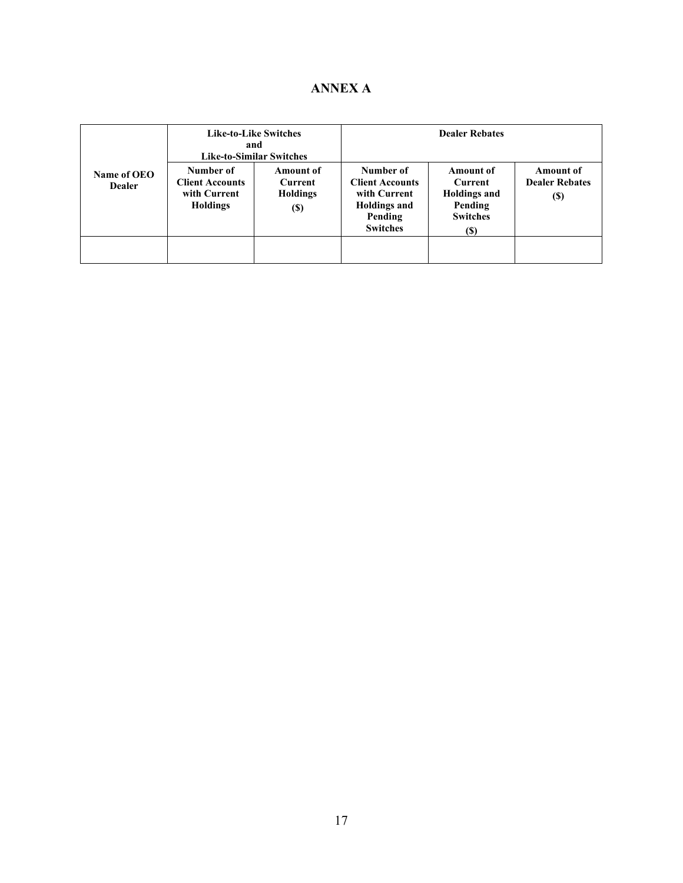# **ANNEX A**

|                              |                                                                 | <b>Like-to-Like Switches</b><br>and<br><b>Like-to-Similar Switches</b> | <b>Dealer Rebates</b>                                                                                    |                                                                                                 |                                                         |  |
|------------------------------|-----------------------------------------------------------------|------------------------------------------------------------------------|----------------------------------------------------------------------------------------------------------|-------------------------------------------------------------------------------------------------|---------------------------------------------------------|--|
| Name of OEO<br><b>Dealer</b> | Number of<br><b>Client Accounts</b><br>with Current<br>Holdings | Amount of<br><b>Current</b><br><b>Holdings</b><br>(S)                  | Number of<br><b>Client Accounts</b><br>with Current<br><b>Holdings and</b><br>Pending<br><b>Switches</b> | <b>Amount of</b><br>Current<br><b>Holdings and</b><br>Pending<br><b>Switches</b><br><b>(\$)</b> | <b>Amount of</b><br><b>Dealer Rebates</b><br><b>(S)</b> |  |
|                              |                                                                 |                                                                        |                                                                                                          |                                                                                                 |                                                         |  |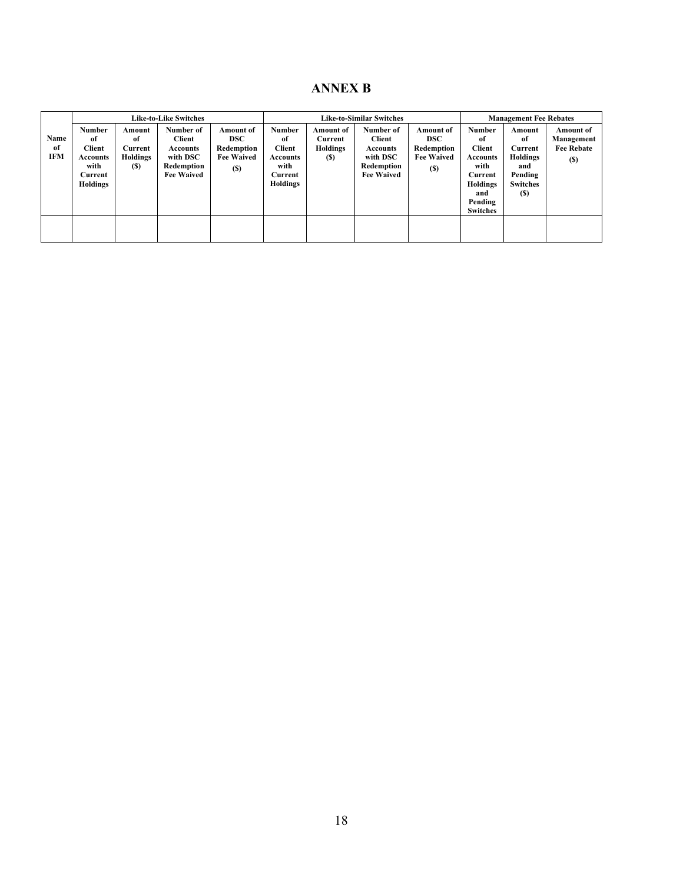# **ANNEX B**

|                          | <b>Like-to-Like Switches</b>                                                           |                                            |                                                                                       | <b>Like-to-Similar Switches</b>                                          |                                                                                                |                                                       | <b>Management Fee Rebates</b>                                                                |                                                                                 |                                                                                                                      |                                                                                        |                                                            |
|--------------------------|----------------------------------------------------------------------------------------|--------------------------------------------|---------------------------------------------------------------------------------------|--------------------------------------------------------------------------|------------------------------------------------------------------------------------------------|-------------------------------------------------------|----------------------------------------------------------------------------------------------|---------------------------------------------------------------------------------|----------------------------------------------------------------------------------------------------------------------|----------------------------------------------------------------------------------------|------------------------------------------------------------|
| Name<br>of<br><b>IFM</b> | <b>Number</b><br>of<br><b>Client</b><br><b>Accounts</b><br>with<br>Current<br>Holdings | Amount<br>of<br>Current<br>Holdings<br>(S) | Number of<br>Client<br><b>Accounts</b><br>with DSC<br>Redemption<br><b>Fee Waived</b> | <b>Amount</b> of<br><b>DSC</b><br>Redemption<br><b>Fee Waived</b><br>(S) | <b>Number</b><br>-of<br><b>Client</b><br><b>Accounts</b><br>with<br>Current<br><b>Holdings</b> | <b>Amount of</b><br>Current<br><b>Holdings</b><br>(S) | Number of<br><b>Client</b><br><b>Accounts</b><br>with DSC<br>Redemption<br><b>Fee Waived</b> | <b>Amount of</b><br><b>DSC</b><br>Redemption<br><b>Fee Waived</b><br><b>(S)</b> | Number<br>of<br><b>Client</b><br><b>Accounts</b><br>with<br>Current<br>Holdings<br>and<br>Pending<br><b>Switches</b> | Amount<br>of<br>Current<br><b>Holdings</b><br>and<br>Pending<br><b>Switches</b><br>(S) | <b>Amount of</b><br>Management<br><b>Fee Rebate</b><br>(S) |
|                          |                                                                                        |                                            |                                                                                       |                                                                          |                                                                                                |                                                       |                                                                                              |                                                                                 |                                                                                                                      |                                                                                        |                                                            |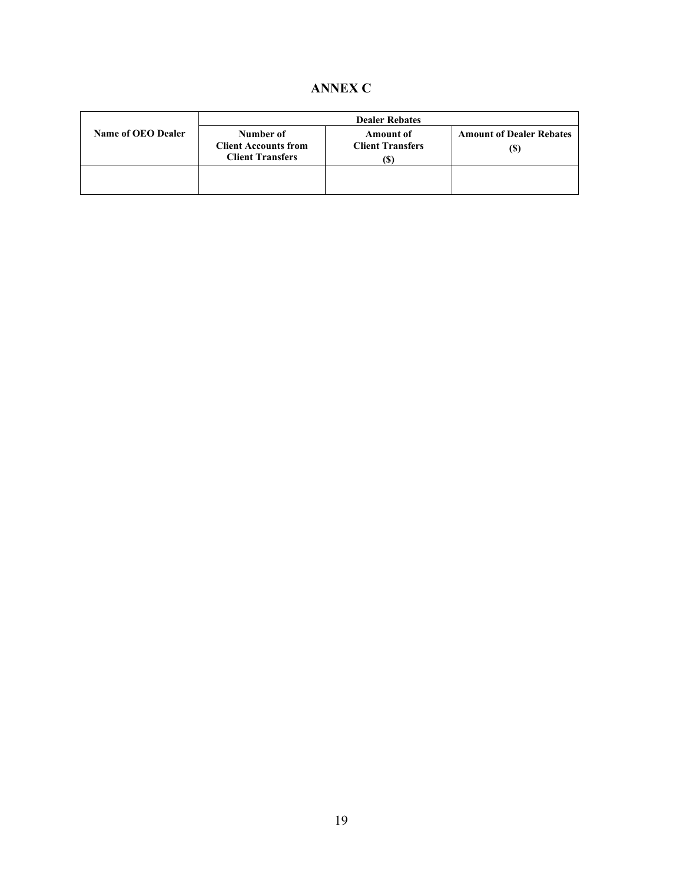## **ANNEX C**

|                           | <b>Dealer Rebates</b>                                               |                                                    |                                        |  |  |
|---------------------------|---------------------------------------------------------------------|----------------------------------------------------|----------------------------------------|--|--|
| <b>Name of OEO Dealer</b> | Number of<br><b>Client Accounts from</b><br><b>Client Transfers</b> | <b>Amount of</b><br><b>Client Transfers</b><br>IЭ. | <b>Amount of Dealer Rebates</b><br>(S) |  |  |
|                           |                                                                     |                                                    |                                        |  |  |